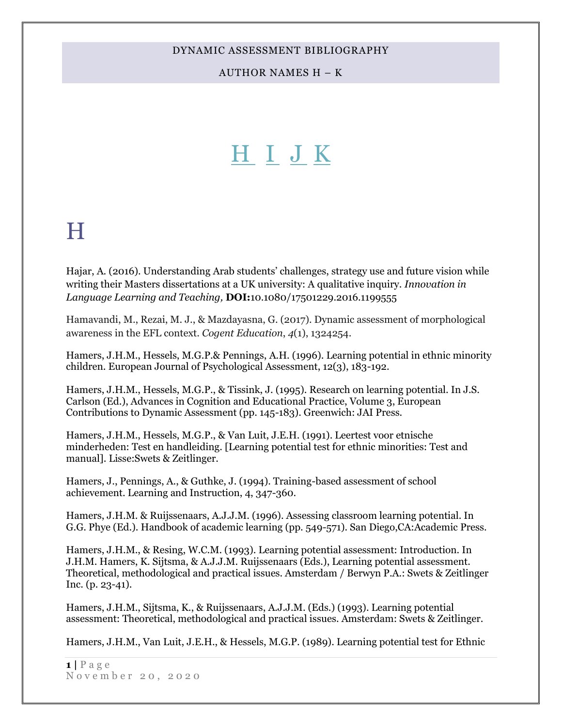AUTHOR NAMES H – K

# [H](#page-0-0) [I](#page-11-0) [J](#page-12-0) [K](#page-15-0)

## <span id="page-0-1"></span><span id="page-0-0"></span>H

Hajar, A. (2016). Understanding Arab students' challenges, strategy use and future vision while writing their Masters dissertations at a UK university: A qualitative inquiry. *Innovation in Language Learning and Teaching,* **DOI:**10.1080/17501229.2016.1199555

Hamavandi, M., Rezai, M. J., & Mazdayasna, G. (2017). Dynamic assessment of morphological awareness in the EFL context. *Cogent Education*, *4*(1), 1324254.

Hamers, J.H.M., Hessels, M.G.P.& Pennings, A.H. (1996). Learning potential in ethnic minority children. European Journal of Psychological Assessment, 12(3), 183-192.

Hamers, J.H.M., Hessels, M.G.P., & Tissink, J. (1995). Research on learning potential. In J.S. Carlson (Ed.), Advances in Cognition and Educational Practice, Volume 3, European Contributions to Dynamic Assessment (pp. 145-183). Greenwich: JAI Press.

Hamers, J.H.M., Hessels, M.G.P., & Van Luit, J.E.H. (1991). Leertest voor etnische minderheden: Test en handleiding. [Learning potential test for ethnic minorities: Test and manual]. Lisse:Swets & Zeitlinger.

Hamers, J., Pennings, A., & Guthke, J. (1994). Training-based assessment of school achievement. Learning and Instruction, 4, 347-360.

Hamers, J.H.M. & Ruijssenaars, A.J.J.M. (1996). Assessing classroom learning potential. In G.G. Phye (Ed.). Handbook of academic learning (pp. 549-571). San Diego,CA:Academic Press.

Hamers, J.H.M., & Resing, W.C.M. (1993). Learning potential assessment: Introduction. In J.H.M. Hamers, K. Sijtsma, & A.J.J.M. Ruijssenaars (Eds.), Learning potential assessment. Theoretical, methodological and practical issues. Amsterdam / Berwyn P.A.: Swets & Zeitlinger Inc. (p. 23-41).

Hamers, J.H.M., Sijtsma, K., & Ruijssenaars, A.J.J.M. (Eds.) (1993). Learning potential assessment: Theoretical, methodological and practical issues. Amsterdam: Swets & Zeitlinger.

Hamers, J.H.M., Van Luit, J.E.H., & Hessels, M.G.P. (1989). Learning potential test for Ethnic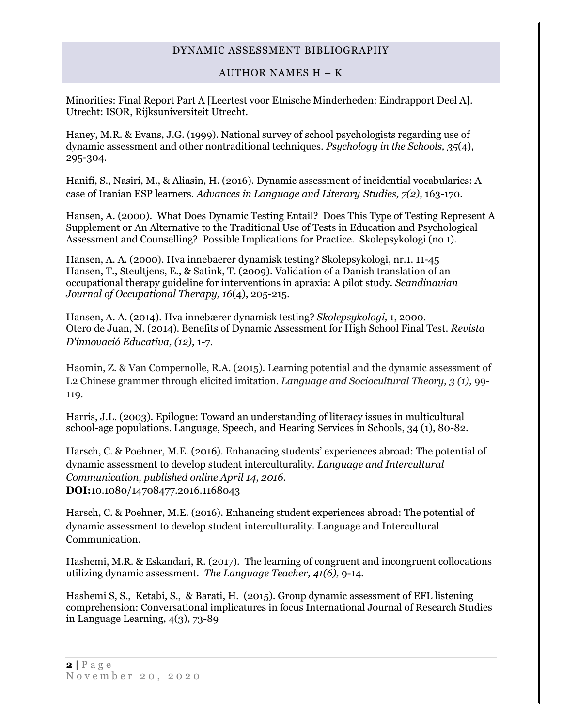### AUTHOR NAMES H – K

Minorities: Final Report Part A [Leertest voor Etnische Minderheden: Eindrapport Deel A]. Utrecht: ISOR, Rijksuniversiteit Utrecht.

Haney, M.R. & Evans, J.G. (1999). National survey of school psychologists regarding use of dynamic assessment and other nontraditional techniques. *Psychology in the Schools, 35*(4), 295-304.

Hanifi, S., Nasiri, M., & Aliasin, H. (2016). Dynamic assessment of incidential vocabularies: A case of Iranian ESP learners. *Advances in Language and Literary Studies, 7(2)*, 163-170.

Hansen, A. (2000). What Does Dynamic Testing Entail? Does This Type of Testing Represent A Supplement or An Alternative to the Traditional Use of Tests in Education and Psychological Assessment and Counselling? Possible Implications for Practice. Skolepsykologi (no 1).

Hansen, A. A. (2000). Hva innebaerer dynamisk testing? Skolepsykologi, nr.1. 11-45 Hansen, T., Steultjens, E., & Satink, T. (2009). Validation of a Danish translation of an occupational therapy guideline for interventions in apraxia: A pilot study. *Scandinavian Journal of Occupational Therapy, 16*(4), 205-215.

Hansen, A. A. (2014). Hva innebærer dynamisk testing? *Skolepsykologi,* 1, 2000. Otero de Juan, N. (2014). Benefits of Dynamic Assessment for High School Final Test*. Revista D'innovació Educativa, (12),* 1-7.

Haomin, Z. & Van Compernolle, R.A. (2015). Learning potential and the dynamic assessment of L2 Chinese grammer through elicited imitation. *Language and Sociocultural Theory, 3 (1),* 99- 119.

Harris, J.L. (2003). Epilogue: Toward an understanding of literacy issues in multicultural school-age populations. Language, Speech, and Hearing Services in Schools, 34 (1), 80-82.

Harsch, C. & Poehner, M.E. (2016). Enhanacing students' experiences abroad: The potential of dynamic assessment to develop student interculturality. *Language and Intercultural Communication, published online April 14, 2016.* **DOI:**10.1080/14708477.2016.1168043

Harsch, C. & Poehner, M.E. (2016). Enhancing student experiences abroad: The potential of dynamic assessment to develop student interculturality. Language and Intercultural Communication.

Hashemi, M.R. & Eskandari, R. (2017). The learning of congruent and incongruent collocations utilizing dynamic assessment. *The Language Teacher, 41(6),* 9-14.

Hashemi S, S., Ketabi, S., & Barati, H. (2015). Group dynamic assessment of EFL listening comprehension: Conversational implicatures in focus International Journal of Research Studies in Language Learning, 4(3), 73-89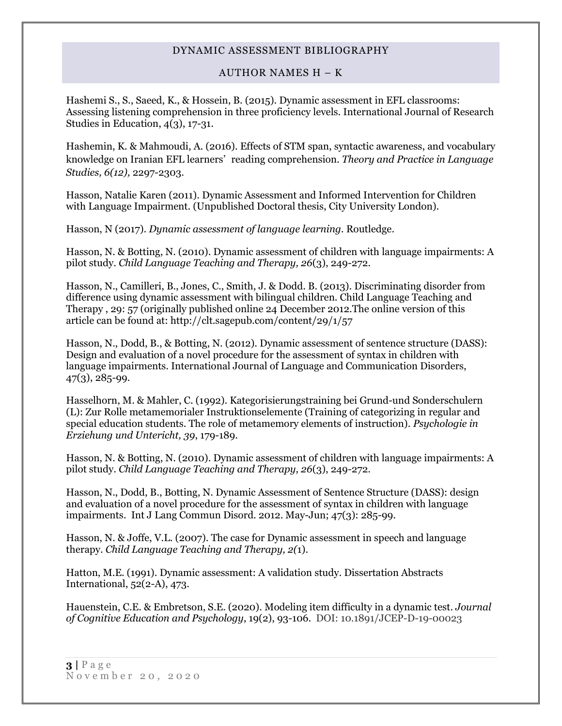### AUTHOR NAMES H – K

Hashemi S., S., Saeed, K., & Hossein, B. (2015). Dynamic assessment in EFL classrooms: Assessing listening comprehension in three proficiency levels. International Journal of Research Studies in Education, 4(3), 17-31.

Hashemin, K. & Mahmoudi, A. (2016). Effects of STM span, syntactic awareness, and vocabulary knowledge on Iranian EFL learners' reading comprehension. *Theory and Practice in Language Studies, 6(12),* 2297-2303.

Hasson, Natalie Karen (2011). Dynamic Assessment and Informed Intervention for Children with Language Impairment. (Unpublished Doctoral thesis, City University London).

Hasson, N (2017). *Dynamic assessment of language learning.* Routledge.

Hasson, N. & Botting, N. (2010). Dynamic assessment of children with language impairments: A pilot study. *Child Language Teaching and Therapy, 26*(3), 249-272.

Hasson, N., Camilleri, B., Jones, C., Smith, J. & Dodd. B. (2013). Discriminating disorder from difference using dynamic assessment with bilingual children. Child Language Teaching and Therapy , 29: 57 (originally published online 24 December 2012.The online version of this article can be found at: http://clt.sagepub.com/content/29/1/57

Hasson, N., Dodd, B., & Botting, N. (2012). Dynamic assessment of sentence structure (DASS): Design and evaluation of a novel procedure for the assessment of syntax in children with language impairments. International Journal of Language and Communication Disorders, 47(3), 285-99.

Hasselhorn, M. & Mahler, C. (1992). Kategorisierungstraining bei Grund-und Sonderschulern (L): Zur Rolle metamemorialer Instruktionselemente (Training of categorizing in regular and special education students. The role of metamemory elements of instruction). *Psychologie in Erziehung und Untericht, 39*, 179-189.

Hasson, N. & Botting, N. (2010). Dynamic assessment of children with language impairments: A pilot study. *Child Language Teaching and Therapy, 26*(3), 249-272.

Hasson, N., Dodd, B., Botting, N. Dynamic Assessment of Sentence Structure (DASS): design and evaluation of a novel procedure for the assessment of syntax in children with language impairments. Int J Lang Commun Disord. 2012. May-Jun; 47(3): 285-99.

Hasson, N. & Joffe, V.L. (2007). The case for Dynamic assessment in speech and language therapy. *Child Language Teaching and Therapy, 2(*1).

Hatton, M.E. (1991). Dynamic assessment: A validation study. Dissertation Abstracts International, 52(2-A), 473.

Hauenstein, C.E. & Embretson, S.E. (2020). Modeling item difficulty in a dynamic test. *Journal of Cognitive Education and Psychology*, 19(2), 93-106. DOI: 10.1891/JCEP-D-19-00023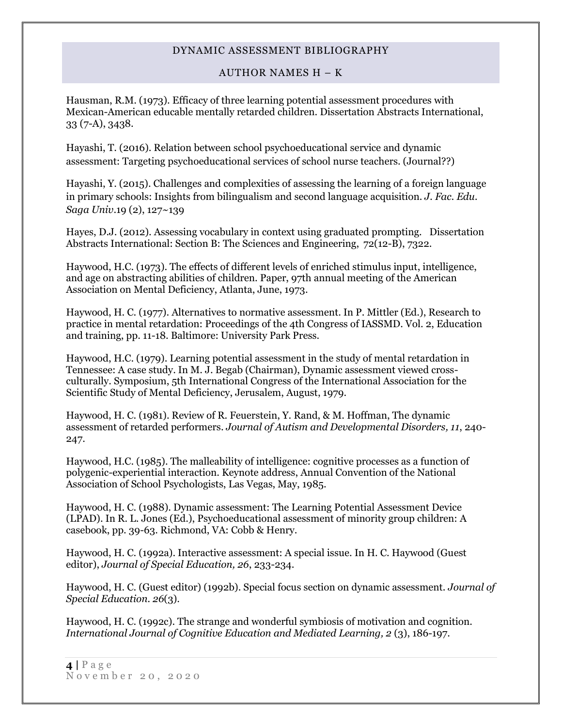### AUTHOR NAMES H – K

Hausman, R.M. (1973). Efficacy of three learning potential assessment procedures with Mexican-American educable mentally retarded children. Dissertation Abstracts International, 33 (7-A), 3438.

Hayashi, T. (2016). Relation between school psychoeducational service and dynamic assessment: Targeting psychoeducational services of school nurse teachers. (Journal??)

Hayashi, Y. (2015). Challenges and complexities of assessing the learning of a foreign language in primary schools: Insights from bilingualism and second language acquisition. *J. Fac. Edu. Saga Univ*.19 (2), 127~139

Hayes, D.J. (2012). Assessing vocabulary in context using graduated prompting. Dissertation Abstracts International: Section B: The Sciences and Engineering, 72(12-B), 7322.

Haywood, H.C. (1973). The effects of different levels of enriched stimulus input, intelligence, and age on abstracting abilities of children. Paper, 97th annual meeting of the American Association on Mental Deficiency, Atlanta, June, 1973.

Haywood, H. C. (1977). Alternatives to normative assessment. In P. Mittler (Ed.), Research to practice in mental retardation: Proceedings of the 4th Congress of IASSMD. Vol. 2, Education and training, pp. 11-18. Baltimore: University Park Press.

Haywood, H.C. (1979). Learning potential assessment in the study of mental retardation in Tennessee: A case study. In M. J. Begab (Chairman), Dynamic assessment viewed crossculturally. Symposium, 5th International Congress of the International Association for the Scientific Study of Mental Deficiency, Jerusalem, August, 1979.

Haywood, H. C. (1981). Review of R. Feuerstein, Y. Rand, & M. Hoffman, The dynamic assessment of retarded performers. *Journal of Autism and Developmental Disorders, 11*, 240- 247.

Haywood, H.C. (1985). The malleability of intelligence: cognitive processes as a function of polygenic-experiential interaction. Keynote address, Annual Convention of the National Association of School Psychologists, Las Vegas, May, 1985.

Haywood, H. C. (1988). Dynamic assessment: The Learning Potential Assessment Device (LPAD). In R. L. Jones (Ed.), Psychoeducational assessment of minority group children: A casebook, pp. 39-63. Richmond, VA: Cobb & Henry.

Haywood, H. C. (1992a). Interactive assessment: A special issue. In H. C. Haywood (Guest editor), *Journal of Special Education, 26*, 233-234.

Haywood, H. C. (Guest editor) (1992b). Special focus section on dynamic assessment. *Journal of Special Education. 26*(3).

Haywood, H. C. (1992c). The strange and wonderful symbiosis of motivation and cognition. *International Journal of Cognitive Education and Mediated Learning, 2* (3), 186-197.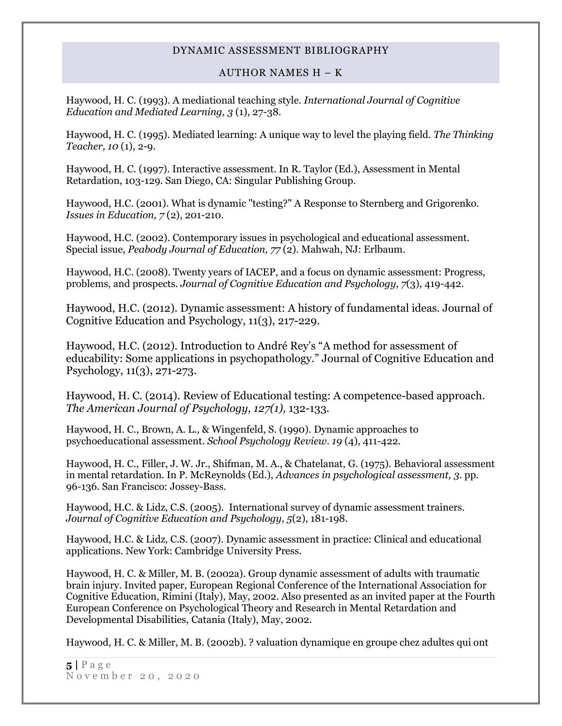### AUTHOR NAMES H – K

Haywood, H. C. (1993). A mediational teaching style. *International Journal of Cognitive Education and Mediated Learning, 3* (1), 27-38.

Haywood, H. C. (1995). Mediated learning: A unique way to level the playing field. *The Thinking Teacher, 10* (1), 2-9.

Haywood, H. C. (1997). Interactive assessment. In R. Taylor (Ed.), Assessment in Mental Retardation, 103-129. San Diego, CA: Singular Publishing Group.

Haywood, H.C. (2001). What is dynamic "testing?" A Response to Sternberg and Grigorenko. *Issues in Education, 7* (2), 201-210.

Haywood, H.C. (2002). Contemporary issues in psychological and educational assessment. Special issue, *Peabody Journal of Education, 77* (2). Mahwah, NJ: Erlbaum.

Haywood, H.C. (2008). Twenty years of IACEP, and a focus on dynamic assessment: Progress, problems, and prospects. *Journal of Cognitive Education and Psychology, 7*(3), 419-442.

Haywood, H.C. (2012). Dynamic assessment: A history of fundamental ideas. Journal of Cognitive Education and Psychology, 11(3), 217-229.

Haywood, H.C. (2012). Introduction to André Rey's "A method for assessment of educability: Some applications in psychopathology." Journal of Cognitive Education and Psychology, 11(3), 271-273.

[Haywood, H. C. \(2014\). R](http://psycnet.apa.org/index.cfm?fa=search.searchResults&latSearchType=a&term=Haywood,%20H.%20Carl)eview of Educational testing: A competence-based approach. *The American Journal of Psychology, 127(1),* 132-133.

Haywood, H. C., Brown, A. L., & Wingenfeld, S. (1990). Dynamic approaches to psychoeducational assessment. *School Psychology Review. 19* (4), 411-422.

Haywood, H. C., Filler, J. W. Jr., Shifman, M. A., & Chatelanat, G. (1975). Behavioral assessment in mental retardation. In P. McReynolds (Ed.), *Advances in psychological assessment, 3*. pp. 96-136. San Francisco: Jossey-Bass.

Haywood, H.C. & Lidz, C.S. (2005). International survey of dynamic assessment trainers. *Journal of Cognitive Education and Psychology, 5*(2), 181-198.

Haywood, H.C. & Lidz, C.S. (2007). Dynamic assessment in practice: Clinical and educational applications. New York: Cambridge University Press.

Haywood, H. C. & Miller, M. B. (2002a). Group dynamic assessment of adults with traumatic brain injury. Invited paper, European Regional Conference of the International Association for Cognitive Education, Rimini (Italy), May, 2002. Also presented as an invited paper at the Fourth European Conference on Psychological Theory and Research in Mental Retardation and Developmental Disabilities, Catania (Italy), May, 2002.

Haywood, H. C. & Miller, M. B. (2002b). ? valuation dynamique en groupe chez adultes qui ont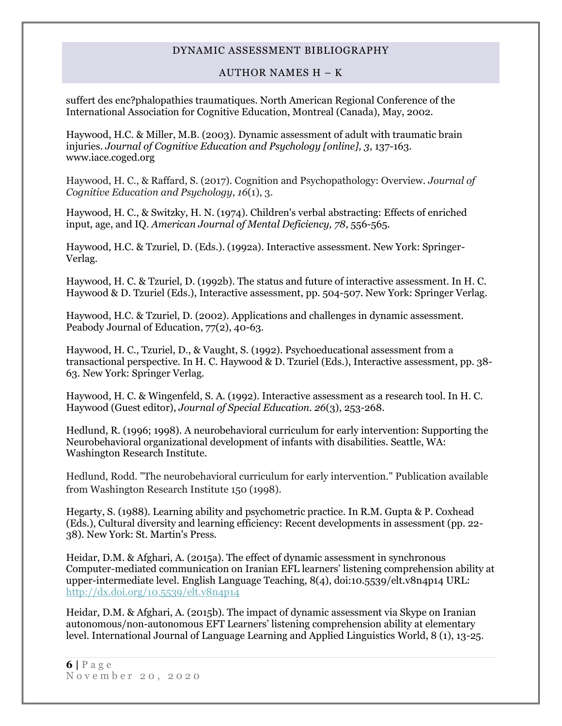### AUTHOR NAMES H – K

suffert des enc?phalopathies traumatiques. North American Regional Conference of the International Association for Cognitive Education, Montreal (Canada), May, 2002.

Haywood, H.C. & Miller, M.B. (2003). Dynamic assessment of adult with traumatic brain injuries. *Journal of Cognitive Education and Psychology [online], 3*, 137-163. www.iace.coged.org

Haywood, H. C., & Raffard, S. (2017). Cognition and Psychopathology: Overview. *Journal of Cognitive Education and Psychology*, *16*(1), 3.

Haywood, H. C., & Switzky, H. N. (1974). Children's verbal abstracting: Effects of enriched input, age, and IQ. *American Journal of Mental Deficiency, 78*, 556-565.

Haywood, H.C. & Tzuriel, D. (Eds.). (1992a). Interactive assessment. New York: Springer-Verlag.

Haywood, H. C. & Tzuriel, D. (1992b). The status and future of interactive assessment. In H. C. Haywood & D. Tzuriel (Eds.), Interactive assessment, pp. 504-507. New York: Springer Verlag.

Haywood, H.C. & Tzuriel, D. (2002). Applications and challenges in dynamic assessment. Peabody Journal of Education, 77(2), 40-63.

Haywood, H. C., Tzuriel, D., & Vaught, S. (1992). Psychoeducational assessment from a transactional perspective. In H. C. Haywood & D. Tzuriel (Eds.), Interactive assessment, pp. 38- 63. New York: Springer Verlag.

Haywood, H. C. & Wingenfeld, S. A. (1992). Interactive assessment as a research tool. In H. C. Haywood (Guest editor), *Journal of Special Education. 26*(3), 253-268.

Hedlund, R. (1996; 1998). A neurobehavioral curriculum for early intervention: Supporting the Neurobehavioral organizational development of infants with disabilities. Seattle, WA: Washington Research Institute.

Hedlund, Rodd. "The neurobehavioral curriculum for early intervention." Publication available from Washington Research Institute 150 (1998).

Hegarty, S. (1988). Learning ability and psychometric practice. In R.M. Gupta & P. Coxhead (Eds.), Cultural diversity and learning efficiency: Recent developments in assessment (pp. 22- 38). New York: St. Martin's Press.

Heidar, D.M. & Afghari, A. (2015a). The effect of dynamic assessment in synchronous Computer-mediated communication on Iranian EFL learners' listening comprehension ability at upper-intermediate level. English Language Teaching, 8(4), doi:10.5539/elt.v8n4p14 URL: <http://dx.doi.org/10.5539/elt.v8n4p14>

Heidar, D.M. & Afghari, A. (2015b). The impact of dynamic assessment via Skype on Iranian autonomous/non-autonomous EFT Learners' listening comprehension ability at elementary level. International Journal of Language Learning and Applied Linguistics World, 8 (1), 13-25.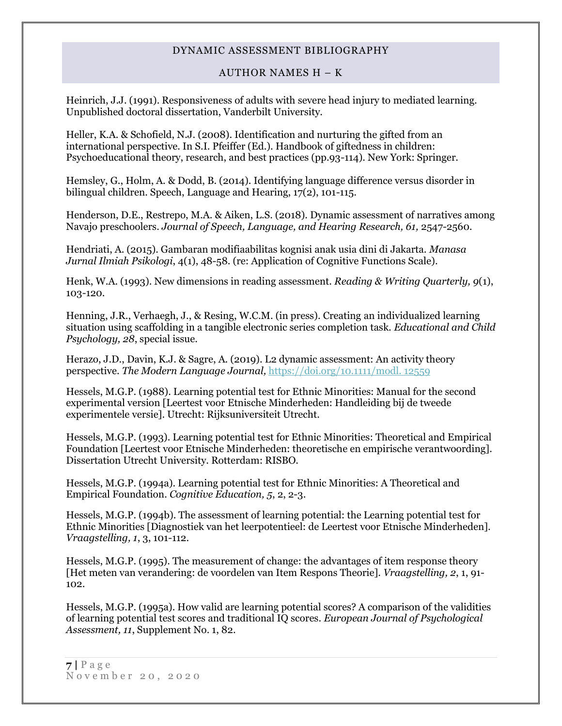### AUTHOR NAMES H – K

Heinrich, J.J. (1991). Responsiveness of adults with severe head injury to mediated learning. Unpublished doctoral dissertation, Vanderbilt University.

Heller, K.A. & Schofield, N.J. (2008). Identification and nurturing the gifted from an international perspective. In S.I. Pfeiffer (Ed.). Handbook of giftedness in children: Psychoeducational theory, research, and best practices (pp.93-114). New York: Springer.

Hemsley, G., Holm, A. & Dodd, B. (2014). Identifying language difference versus disorder in bilingual children. Speech, Language and Hearing, 17(2), 101-115.

Henderson, D.E., Restrepo, M.A. & Aiken, L.S. (2018). Dynamic assessment of narratives among Navajo preschoolers. *Journal of Speech, Language, and Hearing Research, 61, 2547-2560.* 

Hendriati, A. (2015). Gambaran modifiaabilitas kognisi anak usia dini di Jakarta. *Manasa Jurnal Ilmiah Psikologi*, 4(1), 48-58. (re: Application of Cognitive Functions Scale).

Henk, W.A. (1993). New dimensions in reading assessment. *Reading & Writing Quarterly, 9*(1), 103-120.

Henning, J.R., Verhaegh, J., & Resing, W.C.M. (in press). Creating an individualized learning situation using scaffolding in a tangible electronic series completion task. *Educational and Child Psychology, 28*, special issue.

Herazo, J.D., Davin, K.J. & Sagre, A. (2019). L2 dynamic assessment: An activity theory perspective. *The Modern Language Journal,* [https://doi.org/10.1111/modl. 12559](https://doi.org/10.1111/modl.%2012559)

Hessels, M.G.P. (1988). Learning potential test for Ethnic Minorities: Manual for the second experimental version [Leertest voor Etnische Minderheden: Handleiding bij de tweede experimentele versie]. Utrecht: Rijksuniversiteit Utrecht.

Hessels, M.G.P. (1993). Learning potential test for Ethnic Minorities: Theoretical and Empirical Foundation [Leertest voor Etnische Minderheden: theoretische en empirische verantwoording]. Dissertation Utrecht University. Rotterdam: RISBO.

Hessels, M.G.P. (1994a). Learning potential test for Ethnic Minorities: A Theoretical and Empirical Foundation. *Cognitive Education, 5*, 2, 2-3.

Hessels, M.G.P. (1994b). The assessment of learning potential: the Learning potential test for Ethnic Minorities [Diagnostiek van het leerpotentieel: de Leertest voor Etnische Minderheden]. *Vraagstelling, 1*, 3, 101-112.

Hessels, M.G.P. (1995). The measurement of change: the advantages of item response theory [Het meten van verandering: de voordelen van Item Respons Theorie]. *Vraagstelling, 2*, 1, 91- 102.

Hessels, M.G.P. (1995a). How valid are learning potential scores? A comparison of the validities of learning potential test scores and traditional IQ scores. *European Journal of Psychological Assessment, 11*, Supplement No. 1, 82.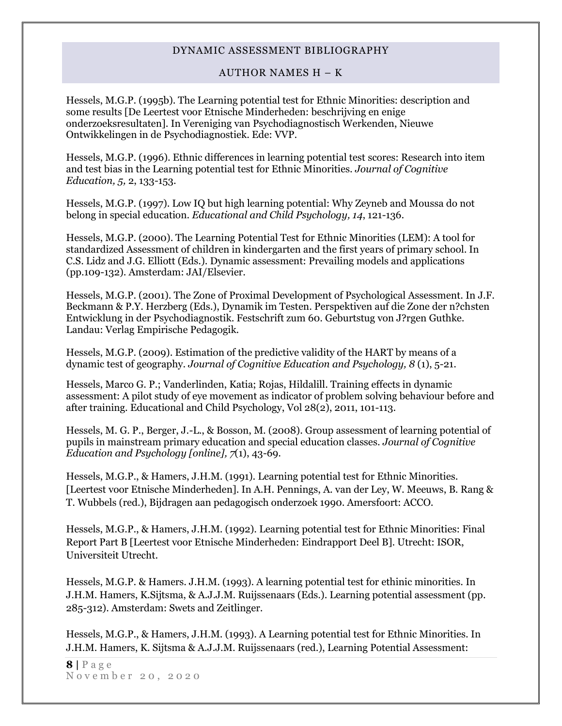### AUTHOR NAMES H – K

Hessels, M.G.P. (1995b). The Learning potential test for Ethnic Minorities: description and some results [De Leertest voor Etnische Minderheden: beschrijving en enige onderzoeksresultaten]. In Vereniging van Psychodiagnostisch Werkenden, Nieuwe Ontwikkelingen in de Psychodiagnostiek. Ede: VVP.

Hessels, M.G.P. (1996). Ethnic differences in learning potential test scores: Research into item and test bias in the Learning potential test for Ethnic Minorities. *Journal of Cognitive Education, 5,* 2, 133-153.

Hessels, M.G.P. (1997). Low IQ but high learning potential: Why Zeyneb and Moussa do not belong in special education. *Educational and Child Psychology, 14*, 121-136.

Hessels, M.G.P. (2000). The Learning Potential Test for Ethnic Minorities (LEM): A tool for standardized Assessment of children in kindergarten and the first years of primary school. In C.S. Lidz and J.G. Elliott (Eds.). Dynamic assessment: Prevailing models and applications (pp.109-132). Amsterdam: JAI/Elsevier.

Hessels, M.G.P. (2001). The Zone of Proximal Development of Psychological Assessment. In J.F. Beckmann & P.Y. Herzberg (Eds.), Dynamik im Testen. Perspektiven auf die Zone der n?chsten Entwicklung in der Psychodiagnostik. Festschrift zum 60. Geburtstug von J?rgen Guthke. Landau: Verlag Empirische Pedagogik.

Hessels, M.G.P. (2009). Estimation of the predictive validity of the HART by means of a dynamic test of geography. *Journal of Cognitive Education and Psychology, 8* (1), 5-21.

Hessels, Marco G. P.; Vanderlinden, Katia; Rojas, Hildalill. Training effects in dynamic assessment: A pilot study of eye movement as indicator of problem solving behaviour before and after training. Educational and Child Psychology, Vol 28(2), 2011, 101-113.

Hessels, M. G. P., Berger, J.-L., & Bosson, M. (2008). Group assessment of learning potential of pupils in mainstream primary education and special education classes. *Journal of Cognitive Education and Psychology [online], 7*(1), 43-69.

Hessels, M.G.P., & Hamers, J.H.M. (1991). Learning potential test for Ethnic Minorities. [Leertest voor Etnische Minderheden]. In A.H. Pennings, A. van der Ley, W. Meeuws, B. Rang & T. Wubbels (red.), Bijdragen aan pedagogisch onderzoek 1990. Amersfoort: ACCO.

Hessels, M.G.P., & Hamers, J.H.M. (1992). Learning potential test for Ethnic Minorities: Final Report Part B [Leertest voor Etnische Minderheden: Eindrapport Deel B]. Utrecht: ISOR, Universiteit Utrecht.

Hessels, M.G.P. & Hamers. J.H.M. (1993). A learning potential test for ethinic minorities. In J.H.M. Hamers, K.Sijtsma, & A.J.J.M. Ruijssenaars (Eds.). Learning potential assessment (pp. 285-312). Amsterdam: Swets and Zeitlinger.

Hessels, M.G.P., & Hamers, J.H.M. (1993). A Learning potential test for Ethnic Minorities. In J.H.M. Hamers, K. Sijtsma & A.J.J.M. Ruijssenaars (red.), Learning Potential Assessment:

 $8 | P \text{age}$ N o v e m b e r 2 0 , 2 0 2 0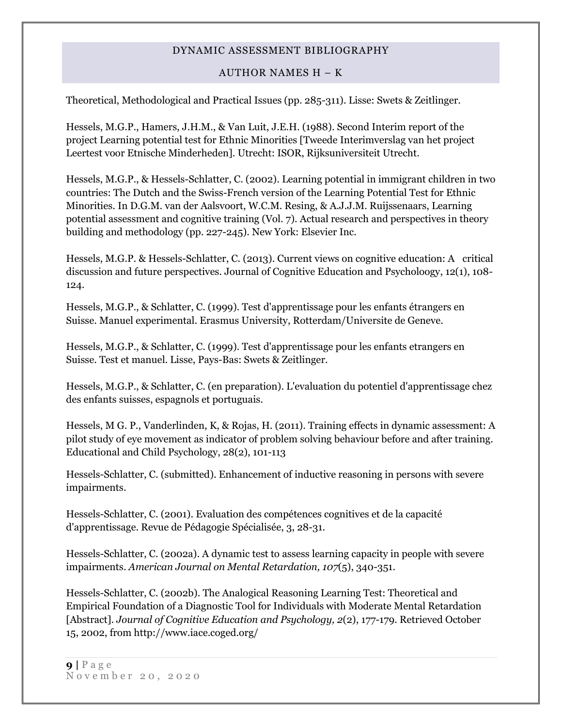### AUTHOR NAMES H – K

Theoretical, Methodological and Practical Issues (pp. 285-311). Lisse: Swets & Zeitlinger.

Hessels, M.G.P., Hamers, J.H.M., & Van Luit, J.E.H. (1988). Second Interim report of the project Learning potential test for Ethnic Minorities [Tweede Interimverslag van het project Leertest voor Etnische Minderheden]. Utrecht: ISOR, Rijksuniversiteit Utrecht.

Hessels, M.G.P., & Hessels-Schlatter, C. (2002). Learning potential in immigrant children in two countries: The Dutch and the Swiss-French version of the Learning Potential Test for Ethnic Minorities. In D.G.M. van der Aalsvoort, W.C.M. Resing, & A.J.J.M. Ruijssenaars, Learning potential assessment and cognitive training (Vol. 7). Actual research and perspectives in theory building and methodology (pp. 227-245). New York: Elsevier Inc.

Hessels, M.G.P. & Hessels-Schlatter, C. (2013). Current views on cognitive education: A critical discussion and future perspectives. Journal of Cognitive Education and Psycholoogy, 12(1), 108- 124.

Hessels, M.G.P., & Schlatter, C. (1999). Test d'apprentissage pour les enfants étrangers en Suisse. Manuel experimental. Erasmus University, Rotterdam/Universite de Geneve.

Hessels, M.G.P., & Schlatter, C. (1999). Test d'apprentissage pour les enfants etrangers en Suisse. Test et manuel. Lisse, Pays-Bas: Swets & Zeitlinger.

Hessels, M.G.P., & Schlatter, C. (en preparation). L'evaluation du potentiel d'apprentissage chez des enfants suisses, espagnols et portuguais.

Hessels, M G. P., Vanderlinden, K, & Rojas, H. (2011). Training effects in dynamic assessment: A pilot study of eye movement as indicator of problem solving behaviour before and after training. Educational and Child Psychology, 28(2), 101-113

Hessels-Schlatter, C. (submitted). Enhancement of inductive reasoning in persons with severe impairments.

Hessels-Schlatter, C. (2001). Evaluation des compétences cognitives et de la capacité d'apprentissage. Revue de Pédagogie Spécialisée, 3, 28-31.

Hessels-Schlatter, C. (2002a). A dynamic test to assess learning capacity in people with severe impairments. *American Journal on Mental Retardation, 107*(5), 340-351.

Hessels-Schlatter, C. (2002b). The Analogical Reasoning Learning Test: Theoretical and Empirical Foundation of a Diagnostic Tool for Individuals with Moderate Mental Retardation [Abstract]. *Journal of Cognitive Education and Psychology, 2*(2), 177-179. Retrieved October 15, 2002, from http://www.iace.coged.org/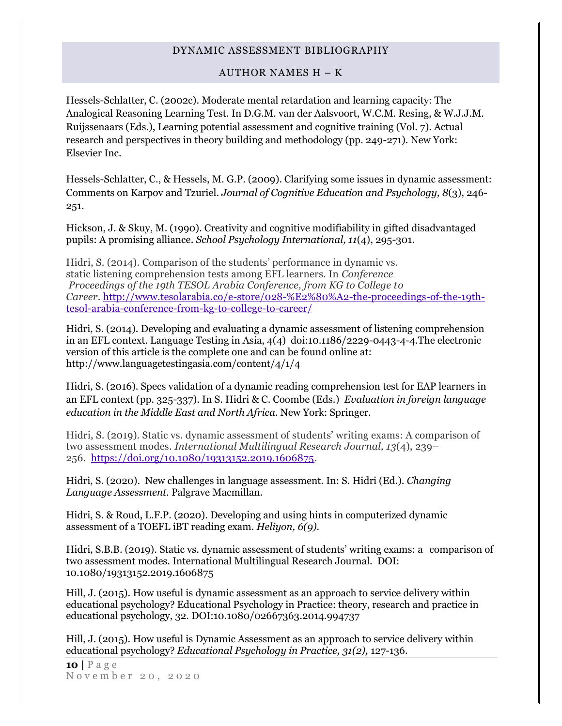### AUTHOR NAMES H – K

Hessels-Schlatter, C. (2002c). Moderate mental retardation and learning capacity: The Analogical Reasoning Learning Test. In D.G.M. van der Aalsvoort, W.C.M. Resing, & W.J.J.M. Ruijssenaars (Eds.), Learning potential assessment and cognitive training (Vol. 7). Actual research and perspectives in theory building and methodology (pp. 249-271). New York: Elsevier Inc.

Hessels-Schlatter, C., & Hessels, M. G.P. (2009). Clarifying some issues in dynamic assessment: Comments on Karpov and Tzuriel. *Journal of Cognitive Education and Psychology, 8*(3), 246- 251.

Hickson, J. & Skuy, M. (1990). Creativity and cognitive modifiability in gifted disadvantaged pupils: A promising alliance. *School Psychology International, 11*(4), 295-301.

Hidri, S. (2014). Comparison of the students' performance in dynamic vs. static listening comprehension tests among EFL learners. In *Conference Proceedings of the 19th TESOL Arabia Conference, from KG to College to Career*. http://www.tesolarabia.co/e-store/028-%E2%80%A2-the-proceedings-of-the-19thtesol-arabia-conference-from-kg-to-college-to-career/

Hidri, S. (2014). Developing and evaluating a dynamic assessment of listening comprehension in an EFL context. Language Testing in Asia, 4(4) doi:10.1186/2229-0443-4-4.The electronic version of this article is the complete one and can be found online at: http://www.languagetestingasia.com/content/4/1/4

Hidri, S. (2016). Specs validation of a dynamic reading comprehension test for EAP learners in an EFL context (pp. 325-337). In S. Hidri & C. Coombe (Eds.) *Evaluation in foreign language education in the Middle East and North Africa.* New York: Springer.

Hidri, S. (2019). Static vs. dynamic assessment of students' writing exams: A comparison of two assessment modes. *International Multilingual Research Journal, 13*(4), 239– 256. https://doi.org/10.1080/19313152.2019.1606875.

Hidri, S. (2020). New challenges in language assessment. In: S. Hidri (Ed.). *Changing Language Assessment.* Palgrave Macmillan.

Hidri, S. & Roud, L.F.P. (2020). Developing and using hints in computerized dynamic assessment of a TOEFL iBT reading exam. *Heliyon, 6(9).* 

Hidri, S.B.B. (2019). Static vs. dynamic assessment of students' writing exams: a comparison of two assessment modes. International Multilingual Research Journal. DOI: 10.1080/19313152.2019.1606875

Hill, J. (2015). How useful is dynamic assessment as an approach to service delivery within educational psychology? Educational Psychology in Practice: theory, research and practice in educational psychology, 32. DOI:10.1080/02667363.2014.994737

Hill, J. (2015). How useful is Dynamic Assessment as an approach to service delivery within educational psychology? *Educational Psychology in Practice, 31(2),* 127-136.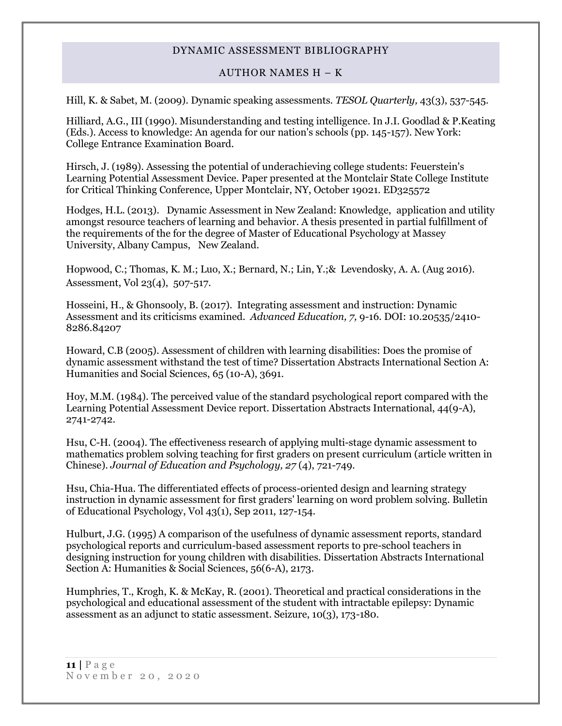### AUTHOR NAMES H – K

Hill, K. & Sabet, M. (2009). Dynamic speaking assessments. *TESOL Quarterly,* 43(3), 537-545.

Hilliard, A.G., III (1990). Misunderstanding and testing intelligence. In J.I. Goodlad & P.Keating (Eds.). Access to knowledge: An agenda for our nation's schools (pp. 145-157). New York: College Entrance Examination Board.

Hirsch, J. (1989). Assessing the potential of underachieving college students: Feuerstein's Learning Potential Assessment Device. Paper presented at the Montclair State College Institute for Critical Thinking Conference, Upper Montclair, NY, October 19021. ED325572

Hodges, H.L. (2013). Dynamic Assessment in New Zealand: Knowledge, application and utility amongst resource teachers of learning and behavior. A thesis presented in partial fulfillment of the requirements of the for the degree of Master of Educational Psychology at Massey University, Albany Campus, New Zealand.

[Hopwood, C.;](http://psycnet.apa.org/index.cfm?fa=search.searchResults&latSearchType=a&term=Hopwood,%20Christopher%20J.) [Thomas, K. M.;](http://psycnet.apa.org/index.cfm?fa=search.searchResults&latSearchType=a&term=Thomas,%20Katherine%20M.) Luo, X.; [Bernard, N.;](http://psycnet.apa.org/index.cfm?fa=search.searchResults&latSearchType=a&term=Bernard,%20Nicola) [Lin, Y.;](http://psycnet.apa.org/index.cfm?fa=search.searchResults&latSearchType=a&term=Lin,%20Yanli)& [Levendosky, A. A.](http://psycnet.apa.org/index.cfm?fa=search.searchResults&latSearchType=a&term=Levendosky,%20Alytia%20A.) (Aug 2016). Assessment, Vol 23(4), 507-517.

Hosseini, H., & Ghonsooly, B. (2017). Integrating assessment and instruction: Dynamic Assessment and its criticisms examined. *Advanced Education, 7,* 9-16. DOI: 10.20535/2410- 8286.84207

Howard, C.B (2005). Assessment of children with learning disabilities: Does the promise of dynamic assessment withstand the test of time? Dissertation Abstracts International Section A: Humanities and Social Sciences, 65 (10-A), 3691.

Hoy, M.M. (1984). The perceived value of the standard psychological report compared with the Learning Potential Assessment Device report. Dissertation Abstracts International, 44(9-A), 2741-2742.

Hsu, C-H. (2004). The effectiveness research of applying multi-stage dynamic assessment to mathematics problem solving teaching for first graders on present curriculum (article written in Chinese). *Journal of Education and Psychology, 27* (4), 721-749.

Hsu, Chia-Hua. The differentiated effects of process-oriented design and learning strategy instruction in dynamic assessment for first graders' learning on word problem solving. Bulletin of Educational Psychology, Vol 43(1), Sep 2011, 127-154.

Hulburt, J.G. (1995) A comparison of the usefulness of dynamic assessment reports, standard psychological reports and curriculum-based assessment reports to pre-school teachers in designing instruction for young children with disabilities. Dissertation Abstracts International Section A: Humanities & Social Sciences, 56(6-A), 2173.

Humphries, T., Krogh, K. & McKay, R. (2001). Theoretical and practical considerations in the psychological and educational assessment of the student with intractable epilepsy: Dynamic assessment as an adjunct to static assessment. Seizure, 10(3), 173-180.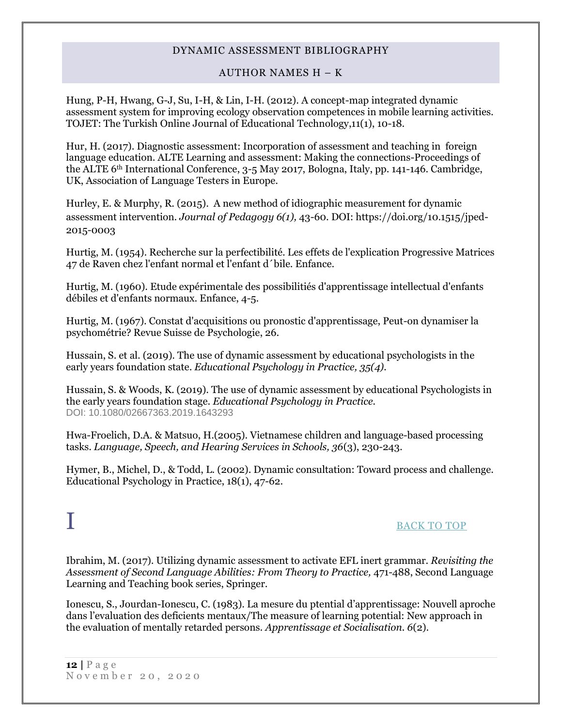### AUTHOR NAMES H – K

Hung, P-H, Hwang, G-J, Su, I-H, & Lin, I-H. (2012). A concept-map integrated dynamic assessment system for improving ecology observation competences in mobile learning activities. TOJET: The Turkish Online Journal of Educational Technology,11(1), 10-18.

Hur, H. (2017). Diagnostic assessment: Incorporation of assessment and teaching in foreign language education. ALTE Learning and assessment: Making the connections-Proceedings of the ALTE 6th International Conference, 3-5 May 2017, Bologna, Italy, pp. 141-146. Cambridge, UK, Association of Language Testers in Europe.

Hurley, E. & Murphy, R. (2015). A new method of idiographic measurement for dynamic assessment intervention. *Journal of Pedagogy 6(1),* 43-60. DOI: https://doi.org/10.1515/jped-2015-0003

Hurtig, M. (1954). Recherche sur la perfectibilité. Les effets de l'explication Progressive Matrices 47 de Raven chez l'enfant normal et l'enfant d´bile. Enfance.

Hurtig, M. (1960). Etude expérimentale des possibilitiés d'apprentissage intellectual d'enfants débiles et d'enfants normaux. Enfance, 4-5.

Hurtig, M. (1967). Constat d'acquisitions ou pronostic d'apprentissage, Peut-on dynamiser la psychométrie? Revue Suisse de Psychologie, 26.

Hussain, S. et al. (2019). The use of dynamic assessment by educational psychologists in the early years foundation state. *Educational Psychology in Practice, 35(4).*

Hussain, S. & Woods, K. (2019). The use of dynamic assessment by educational Psychologists in the early years foundation stage. *Educational Psychology in Practice.* DOI: 10.1080/02667363.2019.1643293

Hwa-Froelich, D.A. & Matsuo, H.(2005). Vietnamese children and language-based processing tasks. *Language, Speech, and Hearing Services in Schools, 36*(3), 230-243.

<span id="page-11-0"></span>Hymer, B., Michel, D., & Todd, L. (2002). Dynamic consultation: Toward process and challenge. Educational Psychology in Practice, 18(1), 47-62.

## I [BACK TO TOP](#page-0-1)

Ibrahim, M. (2017). Utilizing dynamic assessment to activate EFL inert grammar. *Revisiting the Assessment of Second Language Abilities: From Theory to Practice,* 471-488, Second Language Learning and Teaching book series, Springer.

Ionescu, S., Jourdan-Ionescu, C. (1983). La mesure du ptential d'apprentissage: Nouvell aproche dans l'evaluation des deficients mentaux/The measure of learning potential: New approach in the evaluation of mentally retarded persons. *Apprentissage et Socialisation. 6*(2).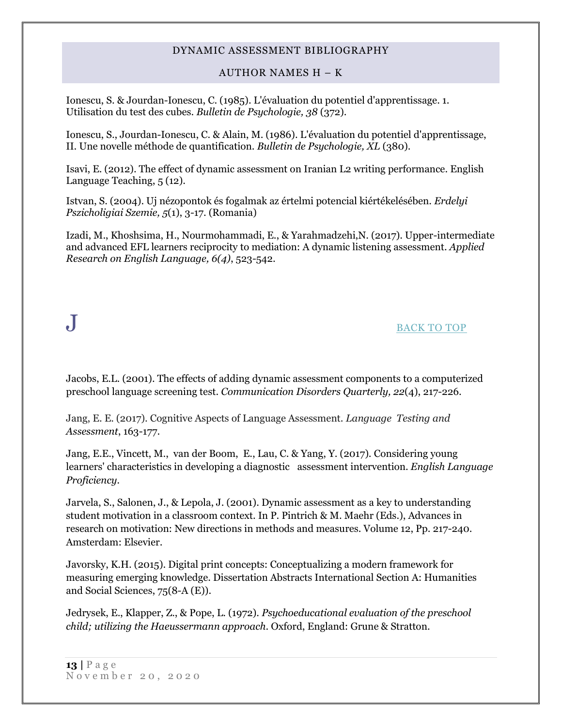### AUTHOR NAMES H – K

Ionescu, S. & Jourdan-Ionescu, C. (1985). L'évaluation du potentiel d'apprentissage. 1. Utilisation du test des cubes. *Bulletin de Psychologie, 38* (372).

Ionescu, S., Jourdan-Ionescu, C. & Alain, M. (1986). L'évaluation du potentiel d'apprentissage, II. Une novelle méthode de quantification. *Bulletin de Psychologie, XL* (380).

Isavi, E. (2012). The effect of dynamic assessment on Iranian L2 writing performance. English Language Teaching, 5 (12).

Istvan, S. (2004). Uj nézopontok és fogalmak az értelmi potencial kiértékelésében. *Erdelyi Pszicholigiai Szemie, 5*(1), 3-17. (Romania)

<span id="page-12-0"></span>Izadi, M., Khoshsima, H., Nourmohammadi, E., & Yarahmadzehi,N. (2017). Upper-intermediate and advanced EFL learners reciprocity to mediation: A dynamic listening assessment. *Applied Research on English Language, 6(4)*, 523-542.

## $J$  <u>[BACK TO TOP](#page-0-1)</u>

Jacobs, E.L. (2001). The effects of adding dynamic assessment components to a computerized preschool language screening test. *Communication Disorders Quarterly, 22*(4), 217-226.

Jang, E. E. (2017). Cognitive Aspects of Language Assessment. *Language Testing and Assessment*, 163-177.

Jang, E.E., Vincett, M., van der Boom, E., Lau, C. & Yang, Y. (2017). [Considering young](http://scholar.google.com/scholar_url?url=http://books.google.com/books%3Fhl%3Den%26lr%3Dlang_en%26id%3DhTElDwAAQBAJ%26oi%3Dfnd%26pg%3DPA193%26dq%3D%2522dynamic%2Bassessment%2522%26ots%3DSzN6G4vePo%26sig%3Do6s9Ll6nKa5JXARiexf3JlOAB64&hl=en&sa=X&scisig=AAGBfm2VZmn3riEUvgTFQ6K0Z1gJg1GhBw&nossl=1&oi=scholaralrt)  [learners' characteristics in developing a diagnostic assessment intervention.](http://scholar.google.com/scholar_url?url=http://books.google.com/books%3Fhl%3Den%26lr%3Dlang_en%26id%3DhTElDwAAQBAJ%26oi%3Dfnd%26pg%3DPA193%26dq%3D%2522dynamic%2Bassessment%2522%26ots%3DSzN6G4vePo%26sig%3Do6s9Ll6nKa5JXARiexf3JlOAB64&hl=en&sa=X&scisig=AAGBfm2VZmn3riEUvgTFQ6K0Z1gJg1GhBw&nossl=1&oi=scholaralrt) *English Language Proficiency.*

Jarvela, S., Salonen, J., & Lepola, J. (2001). Dynamic assessment as a key to understanding student motivation in a classroom context. In P. Pintrich & M. Maehr (Eds.), Advances in research on motivation: New directions in methods and measures. Volume 12, Pp. 217-240. Amsterdam: Elsevier.

Javorsky, K.H. (2015). Digital print concepts: Conceptualizing a modern framework for measuring emerging knowledge. Dissertation Abstracts International Section A: Humanities and Social Sciences, 75(8-A (E)).

Jedrysek, E., Klapper, Z., & Pope, L. (1972). *Psychoeducational evaluation of the preschool child; utilizing the Haeussermann approach*. Oxford, England: Grune & Stratton.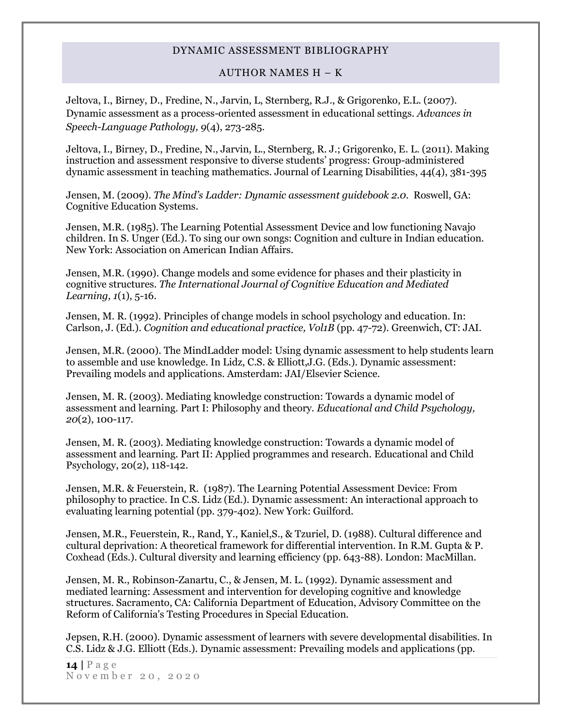### AUTHOR NAMES H – K

Jeltova, I., Birney, D., Fredine, N., Jarvin, L, Sternberg, R.J., & Grigorenko, E.L. (2007). Dynamic assessment as a process-oriented assessment in educational settings. *Advances in Speech-Language Pathology, 9*(4), 273-285.

Jeltova, I., Birney, D., Fredine, N., Jarvin, L., Sternberg, R. J.; Grigorenko, E. L. (2011). Making instruction and assessment responsive to diverse students' progress: Group-administered dynamic assessment in teaching mathematics. Journal of Learning Disabilities, 44(4), 381-395

Jensen, M. (2009). *The Mind's Ladder: Dynamic assessment guidebook 2.0*. Roswell, GA: Cognitive Education Systems.

Jensen, M.R. (1985). The Learning Potential Assessment Device and low functioning Navajo children. In S. Unger (Ed.). To sing our own songs: Cognition and culture in Indian education. New York: Association on American Indian Affairs.

Jensen, M.R. (1990). Change models and some evidence for phases and their plasticity in cognitive structures. *The International Journal of Cognitive Education and Mediated Learning, 1*(1), 5-16.

Jensen, M. R. (1992). Principles of change models in school psychology and education. In: Carlson, J. (Ed.). *Cognition and educational practice, Vol1B* (pp. 47-72). Greenwich, CT: JAI.

Jensen, M.R. (2000). The MindLadder model: Using dynamic assessment to help students learn to assemble and use knowledge. In Lidz, C.S. & Elliott,J.G. (Eds.). Dynamic assessment: Prevailing models and applications. Amsterdam: JAI/Elsevier Science.

Jensen, M. R. (2003). Mediating knowledge construction: Towards a dynamic model of assessment and learning. Part I: Philosophy and theory. *Educational and Child Psychology, 20*(2), 100-117.

Jensen, M. R. (2003). Mediating knowledge construction: Towards a dynamic model of assessment and learning. Part II: Applied programmes and research. Educational and Child Psychology, 20(2), 118-142.

Jensen, M.R. & Feuerstein, R. (1987). The Learning Potential Assessment Device: From philosophy to practice. In C.S. Lidz (Ed.). Dynamic assessment: An interactional approach to evaluating learning potential (pp. 379-402). New York: Guilford.

Jensen, M.R., Feuerstein, R., Rand, Y., Kaniel,S., & Tzuriel, D. (1988). Cultural difference and cultural deprivation: A theoretical framework for differential intervention. In R.M. Gupta & P. Coxhead (Eds.). Cultural diversity and learning efficiency (pp. 643-88). London: MacMillan.

Jensen, M. R., Robinson-Zanartu, C., & Jensen, M. L. (1992). Dynamic assessment and mediated learning: Assessment and intervention for developing cognitive and knowledge structures. Sacramento, CA: California Department of Education, Advisory Committee on the Reform of California's Testing Procedures in Special Education.

Jepsen, R.H. (2000). Dynamic assessment of learners with severe developmental disabilities. In C.S. Lidz & J.G. Elliott (Eds.). Dynamic assessment: Prevailing models and applications (pp.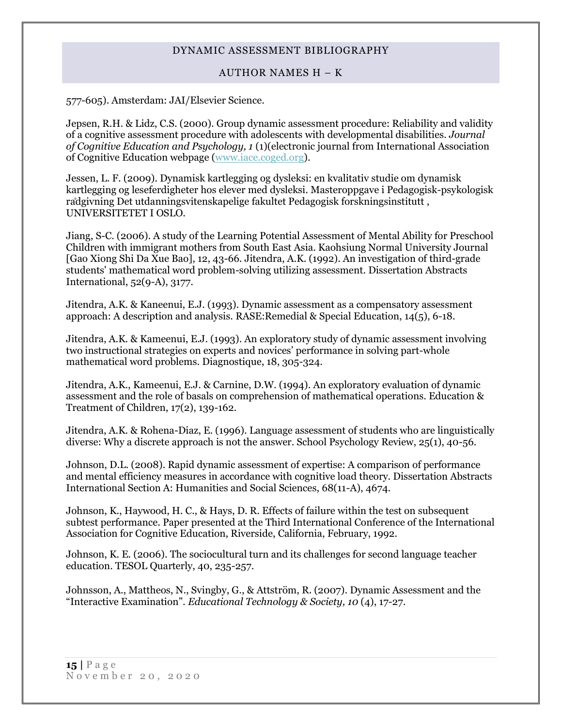### AUTHOR NAMES H – K

577-605). Amsterdam: JAI/Elsevier Science.

Jepsen, R.H. & Lidz, C.S. (2000). Group dynamic assessment procedure: Reliability and validity of a cognitive assessment procedure with adolescents with developmental disabilities. *Journal of Cognitive Education and Psychology, 1* (1)(electronic journal from International Association of Cognitive Education webpage [\(www.iace.coged.org\)](http://www.iace.coged.org/).

Jessen, L. F. (2009). Dynamisk kartlegging og dysleksi: en kvalitativ studie om dynamisk kartlegging og leseferdigheter hos elever med dysleksi. Masteroppgave i Pedagogisk-psykologisk rådgivning Det utdanningsvitenskapelige fakultet Pedagogisk forskningsinstitutt , UNIVERSITETET I OSLO.

Jiang, S-C. (2006). A study of the Learning Potential Assessment of Mental Ability for Preschool Children with immigrant mothers from South East Asia. Kaohsiung Normal University Journal [Gao Xiong Shi Da Xue Bao], 12, 43-66. Jitendra, A.K. (1992). An investigation of third-grade students' mathematical word problem-solving utilizing assessment. Dissertation Abstracts International, 52(9-A), 3177.

Jitendra, A.K. & Kaneenui, E.J. (1993). Dynamic assessment as a compensatory assessment approach: A description and analysis. RASE:Remedial & Special Education, 14(5), 6-18.

Jitendra, A.K. & Kameenui, E.J. (1993). An exploratory study of dynamic assessment involving two instructional strategies on experts and novices' performance in solving part-whole mathematical word problems. Diagnostique, 18, 305-324.

Jitendra, A.K., Kameenui, E.J. & Carnine, D.W. (1994). An exploratory evaluation of dynamic assessment and the role of basals on comprehension of mathematical operations. Education & Treatment of Children, 17(2), 139-162.

Jitendra, A.K. & Rohena-Diaz, E. (1996). Language assessment of students who are linguistically diverse: Why a discrete approach is not the answer. School Psychology Review, 25(1), 40-56.

Johnson, D.L. (2008). Rapid dynamic assessment of expertise: A comparison of performance and mental efficiency measures in accordance with cognitive load theory. Dissertation Abstracts International Section A: Humanities and Social Sciences, 68(11-A), 4674.

Johnson, K., Haywood, H. C., & Hays, D. R. Effects of failure within the test on subsequent subtest performance. Paper presented at the Third International Conference of the International Association for Cognitive Education, Riverside, California, February, 1992.

Johnson, K. E. (2006). The sociocultural turn and its challenges for second language teacher education. TESOL Quarterly, 40, 235-257.

Johnsson, A., Mattheos, N., Svingby, G., & Attström, R. (2007). Dynamic Assessment and the "Interactive Examination". *Educational Technology & Society, 10* (4), 17-27.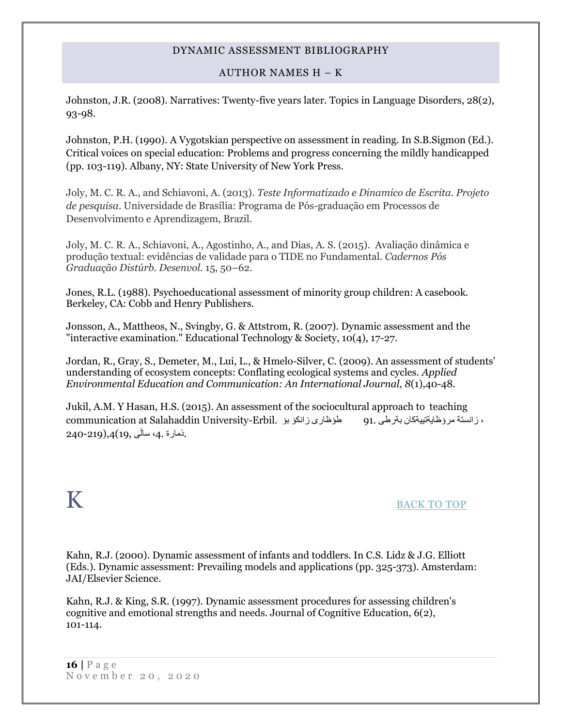### AUTHOR NAMES H – K

Johnston, J.R. (2008). Narratives: Twenty-five years later. Topics in Language Disorders, 28(2), 93-98.

Johnston, P.H. (1990). A Vygotskian perspective on assessment in reading. In S.B.Sigmon (Ed.). Critical voices on special education: Problems and progress concerning the mildly handicapped (pp. 103-119). Albany, NY: State University of New York Press.

Joly, M. C. R. A., and Schiavoni, A. (2013). *Teste Informatizado e Dinamico de Escrita. Projeto de pesquisa*. Universidade de Brasília: Programa de Pós-graduação em Processos de Desenvolvimento e Aprendizagem, Brazil.

Joly, M. C. R. A., Schiavoni, A., Agostinho, A., and Dias, A. S. (2015). Avaliação dinâmica e produção textual: evidências de validade para o TIDE no Fundamental. *Cadernos Pós Graduação Distúrb. Desenvol.* 15, 50–62.

Jones, R.L. (1988). Psychoeducational assessment of minority group children: A casebook. Berkeley, CA: Cobb and Henry Publishers.

Jonsson, A., Mattheos, N., Svingby, G. & Attstrom, R. (2007). Dynamic assessment and the "interactive examination." Educational Technology & Society, 10(4), 17-27.

Jordan, R., Gray, S., Demeter, M., Lui, L., & Hmelo-Silver, C. (2009). An assessment of students' understanding of ecosystem concepts: Conflating ecological systems and cycles. *Applied Environmental Education and Communication: An International Journal, 8*(1),40-48.

Jukil, A.M. Y Hasan, H.S. (2015). An assessment of the sociocultural approach to teaching ، زانستة مرؤظايةتييةكان بةرطى 91. طؤظارى زانكؤ بؤ .Erbil-University Salahaddin at communication .ذمارة ،4. سالَى 19,),4(240-219

## <span id="page-15-0"></span> $K$  back to top

Kahn, R.J. (2000). Dynamic assessment of infants and toddlers. In C.S. Lidz & J.G. Elliott (Eds.). Dynamic assessment: Prevailing models and applications (pp. 325-373). Amsterdam: JAI/Elsevier Science.

Kahn, R.J. & King, S.R. (1997). Dynamic assessment procedures for assessing children's cognitive and emotional strengths and needs. Journal of Cognitive Education, 6(2), 101-114.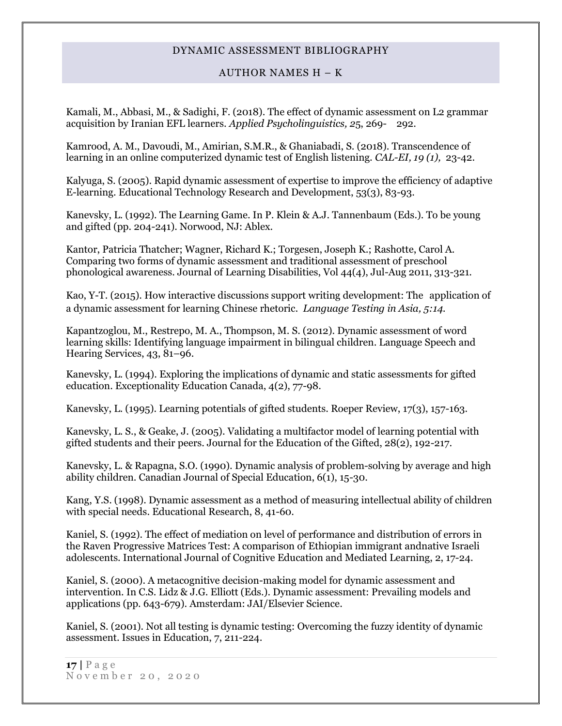### AUTHOR NAMES H – K

Kamali, M., Abbasi, M., & Sadighi, F. (2018). The effect of dynamic assessment on L2 grammar acquisition by Iranian EFL learners. *Applied Psycholinguistics, 2*5, 269- 292.

Kamrood, A. M., Davoudi, M., Amirian, S.M.R., & Ghaniabadi, S. (2018). Transcendence of learning in an online computerized dynamic test of English listening. *CAL-EI, 19 (1),* 23-42.

Kalyuga, S. (2005). Rapid dynamic assessment of expertise to improve the efficiency of adaptive E-learning. Educational Technology Research and Development, 53(3), 83-93.

Kanevsky, L. (1992). The Learning Game. In P. Klein & A.J. Tannenbaum (Eds.). To be young and gifted (pp. 204-241). Norwood, NJ: Ablex.

Kantor, Patricia Thatcher; Wagner, Richard K.; Torgesen, Joseph K.; Rashotte, Carol A. Comparing two forms of dynamic assessment and traditional assessment of preschool phonological awareness. Journal of Learning Disabilities, Vol 44(4), Jul-Aug 2011, 313-321.

Kao, Y-T. (2015). How interactive discussions support writing development: The application of a dynamic assessment for learning Chinese rhetoric*. Language Testing in Asia, 5:14.*

Kapantzoglou, M., Restrepo, M. A., Thompson, M. S. (2012). Dynamic assessment of word learning skills: Identifying language impairment in bilingual children. Language Speech and Hearing Services, 43, 81–96.

Kanevsky, L. (1994). Exploring the implications of dynamic and static assessments for gifted education. Exceptionality Education Canada, 4(2), 77-98.

Kanevsky, L. (1995). Learning potentials of gifted students. Roeper Review, 17(3), 157-163.

Kanevsky, L. S., & Geake, J. (2005). Validating a multifactor model of learning potential with gifted students and their peers. Journal for the Education of the Gifted, 28(2), 192-217.

Kanevsky, L. & Rapagna, S.O. (1990). Dynamic analysis of problem-solving by average and high ability children. Canadian Journal of Special Education,  $6(1)$ , 15-30.

Kang, Y.S. (1998). Dynamic assessment as a method of measuring intellectual ability of children with special needs. Educational Research, 8, 41-60.

Kaniel, S. (1992). The effect of mediation on level of performance and distribution of errors in the Raven Progressive Matrices Test: A comparison of Ethiopian immigrant andnative Israeli adolescents. International Journal of Cognitive Education and Mediated Learning, 2, 17-24.

Kaniel, S. (2000). A metacognitive decision-making model for dynamic assessment and intervention. In C.S. Lidz & J.G. Elliott (Eds.). Dynamic assessment: Prevailing models and applications (pp. 643-679). Amsterdam: JAI/Elsevier Science.

Kaniel, S. (2001). Not all testing is dynamic testing: Overcoming the fuzzy identity of dynamic assessment. Issues in Education, 7, 211-224.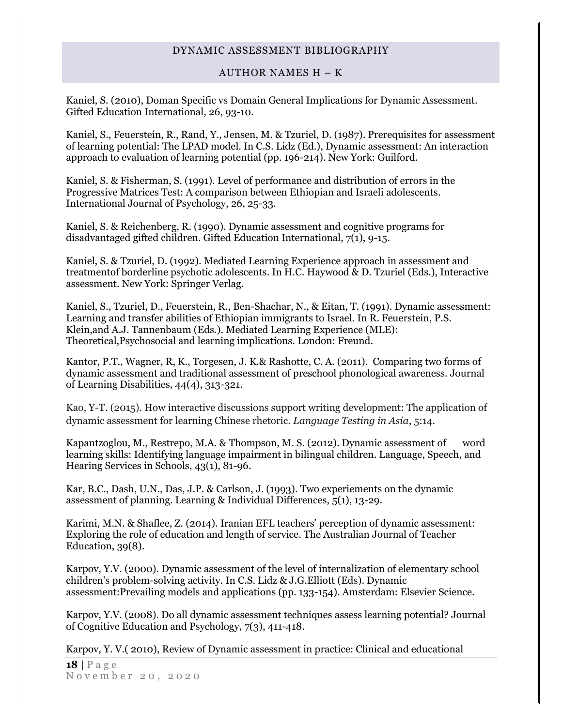### AUTHOR NAMES H – K

Kaniel, S. (2010), Doman Specific vs Domain General Implications for Dynamic Assessment. Gifted Education International, 26, 93-10.

Kaniel, S., Feuerstein, R., Rand, Y., Jensen, M. & Tzuriel, D. (1987). Prerequisites for assessment of learning potential: The LPAD model. In C.S. Lidz (Ed.), Dynamic assessment: An interaction approach to evaluation of learning potential (pp. 196-214). New York: Guilford.

Kaniel, S. & Fisherman, S. (1991). Level of performance and distribution of errors in the Progressive Matrices Test: A comparison between Ethiopian and Israeli adolescents. International Journal of Psychology, 26, 25-33.

Kaniel, S. & Reichenberg, R. (1990). Dynamic assessment and cognitive programs for disadvantaged gifted children. Gifted Education International, 7(1), 9-15.

Kaniel, S. & Tzuriel, D. (1992). Mediated Learning Experience approach in assessment and treatmentof borderline psychotic adolescents. In H.C. Haywood & D. Tzuriel (Eds.), Interactive assessment. New York: Springer Verlag.

Kaniel, S., Tzuriel, D., Feuerstein, R., Ben-Shachar, N., & Eitan, T. (1991). Dynamic assessment: Learning and transfer abilities of Ethiopian immigrants to Israel. In R. Feuerstein, P.S. Klein,and A.J. Tannenbaum (Eds.). Mediated Learning Experience (MLE): Theoretical,Psychosocial and learning implications. London: Freund.

Kantor, P.T., Wagner, R, K., Torgesen, J. K.& Rashotte, C. A. (2011). Comparing two forms of dynamic assessment and traditional assessment of preschool phonological awareness. Journal of Learning Disabilities, 44(4), 313-321.

Kao, Y-T. (2015). How interactive discussions support writing development: The application of dynamic assessment for learning Chinese rhetoric. *Language Testing in Asia*, 5:14.

Kapantzoglou, M., Restrepo, M.A. & Thompson, M. S. (2012). Dynamic assessment of word learning skills: Identifying language impairment in bilingual children. Language, Speech, and Hearing Services in Schools, 43(1), 81-96.

Kar, B.C., Dash, U.N., Das, J.P. & Carlson, J. (1993). Two experiements on the dynamic assessment of planning. Learning & Individual Differences, 5(1), 13-29.

Karimi, M.N. & Shaflee, Z. (2014). Iranian EFL teachers' perception of dynamic assessment: Exploring the role of education and length of service. The Australian Journal of Teacher Education, 39(8).

Karpov, Y.V. (2000). Dynamic assessment of the level of internalization of elementary school children's problem-solving activity. In C.S. Lidz & J.G.Elliott (Eds). Dynamic assessment:Prevailing models and applications (pp. 133-154). Amsterdam: Elsevier Science.

Karpov, Y.V. (2008). Do all dynamic assessment techniques assess learning potential? Journal of Cognitive Education and Psychology, 7(3), 411-418.

Karpov, Y. V.( 2010), [Review of Dynamic assessment in practice: Clinical and educational](http://psycnet.apa.org/index.cfm?fa=search.displayRecord&id=B6F4B90D-9E21-EC1C-6F6D-88415430527F&resultID=13&page=1&dbTab=all)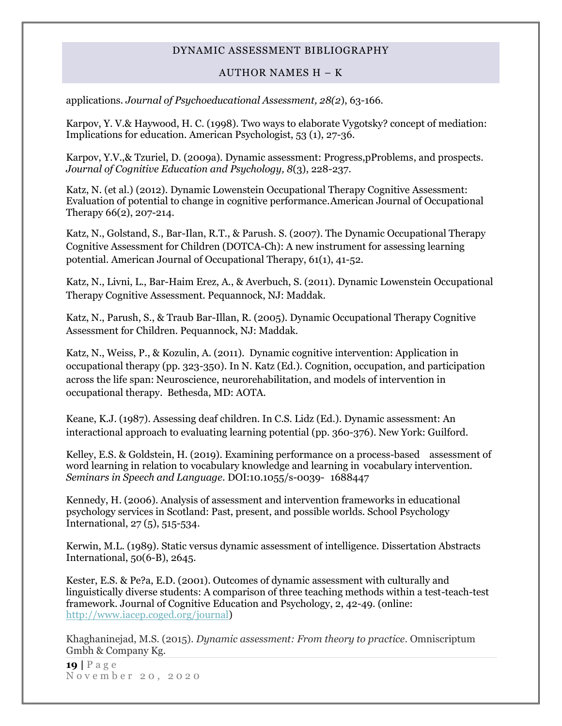### AUTHOR NAMES H – K

[applications.](http://psycnet.apa.org/index.cfm?fa=search.displayRecord&id=B6F4B90D-9E21-EC1C-6F6D-88415430527F&resultID=13&page=1&dbTab=all) *Journal of Psychoeducational Assessment, 28(2*), 63-166.

Karpov, Y. V.& Haywood, H. C. (1998). Two ways to elaborate Vygotsky? concept of mediation: Implications for education. American Psychologist, 53 (1), 27-36.

Karpov, Y.V.,& Tzuriel, D. (2009a). Dynamic assessment: Progress,pProblems, and prospects. *Journal of Cognitive Education and Psychology, 8*(3), 228-237.

Katz, N. (et al.) (2012). Dynamic Lowenstein Occupational Therapy Cognitive Assessment: Evaluation of potential to change in cognitive performance.American Journal of Occupational Therapy 66(2), 207-214.

Katz, N., Golstand, S., Bar-Ilan, R.T., & Parush. S. (2007). The Dynamic Occupational Therapy Cognitive Assessment for Children (DOTCA-Ch): A new instrument for assessing learning potential. American Journal of Occupational Therapy, 61(1), 41-52.

Katz, N., Livni, L., Bar-Haim Erez, A., & Averbuch, S. (2011). Dynamic Lowenstein Occupational Therapy Cognitive Assessment. Pequannock, NJ: Maddak.

Katz, N., Parush, S., & Traub Bar-Illan, R. (2005). Dynamic Occupational Therapy Cognitive Assessment for Children. Pequannock, NJ: Maddak.

Katz, N., Weiss, P., & Kozulin, A. (2011). Dynamic cognitive intervention: Application in occupational therapy (pp. 323-350). In N. Katz (Ed.). Cognition, occupation, and participation across the life span: Neuroscience, neurorehabilitation, and models of intervention in occupational therapy. Bethesda, MD: AOTA.

Keane, K.J. (1987). Assessing deaf children. In C.S. Lidz (Ed.). Dynamic assessment: An interactional approach to evaluating learning potential (pp. 360-376). New York: Guilford.

Kelley, E.S. & Goldstein, H. (2019). Examining performance on a process-based assessment of word learning in relation to vocabulary knowledge and learning in vocabulary intervention. *Seminars in Speech and Language.* DOI:10.1055/s-0039- 1688447

Kennedy, H. (2006). Analysis of assessment and intervention frameworks in educational psychology services in Scotland: Past, present, and possible worlds. School Psychology International, 27 (5), 515-534.

Kerwin, M.L. (1989). Static versus dynamic assessment of intelligence. Dissertation Abstracts International, 50(6-B), 2645.

Kester, E.S. & Pe?a, E.D. (2001). Outcomes of dynamic assessment with culturally and linguistically diverse students: A comparison of three teaching methods within a test-teach-test framework. Journal of Cognitive Education and Psychology, 2, 42-49. (online: [http://www.iacep.coged.org/journal\)](http://www.iacep.coged.org/journal)

Khaghaninejad, M.S. (2015). *Dynamic assessment: From theory to practice*. Omniscriptum Gmbh & Company Kg.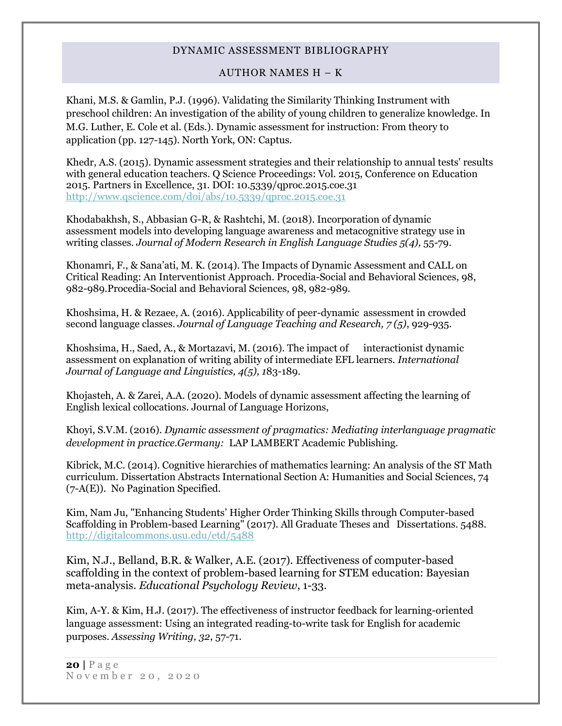### AUTHOR NAMES H – K

Khani, M.S. & Gamlin, P.J. (1996). Validating the Similarity Thinking Instrument with preschool children: An investigation of the ability of young children to generalize knowledge. In M.G. Luther, E. Cole et al. (Eds.). Dynamic assessment for instruction: From theory to application (pp. 127-145). North York, ON: Captus.

Khedr, A.S. (2015). Dynamic assessment strategies and their relationship to annual tests' results with general education teachers. Q Science Proceedings: Vol. 2015, Conference on Education 2015. Partners in Excellence, 31. DOI: 10.5339/qproc.2015.coe.31 <http://www.qscience.com/doi/abs/10.5339/qproc.2015.coe.31>

Khodabakhsh, S., Abbasian G-R, & Rashtchi, M. (2018). Incorporation of dynamic assessment models into developing language awareness and metacognitive strategy use in writing classes. *Journal of Modern Research in English Language Studies 5(4),* 55-79.

Khonamri, F., & Sana'ati, M. K. (2014). The Impacts of Dynamic Assessment and CALL on Critical Reading: An Interventionist Approach. Procedia-Social and Behavioral Sciences, 98, 982-989.Procedia-Social and Behavioral Sciences, 98, 982-989.

Khoshsima, H. & Rezaee, A. (2016). Applicability of peer-dynamic assessment in crowded second language classes. *Journal of Language Teaching and Research, 7 (5)*, 929-935.

Khoshsima, H., Saed, A., & Mortazavi, M. (2016). The impact of interactionist dynamic assessment on explanation of writing ability of intermediate EFL learners. *International Journal of Language and Linguistics, 4(5), 1*83-189.

Khojasteh, A. & Zarei, A.A. (2020). Models of dynamic assessment affecting the learning of English lexical collocations. Journal of Language Horizons,

Khoyi, S.V.M. (2016). *Dynamic assessment of pragmatics: Mediating interlanguage pragmatic development in practice.Germany:* LAP LAMBERT Academic Publishing.

Kibrick, M.C. (2014). Cognitive hierarchies of mathematics learning: An analysis of the ST Math curriculum. Dissertation Abstracts International Section A: Humanities and Social Sciences, 74 (7-A(E)). No Pagination Specified.

Kim, Nam Ju, "Enhancing Students' Higher Order Thinking Skills through Computer-based Scaffolding in Problem-based Learning" (2017). All Graduate Theses and Dissertations. 5488. <http://digitalcommons.usu.edu/etd/5488>

Kim, N.J., Belland, B.R. & Walker, A.E. (2017). Effectiveness of computer-based scaffolding in the context of problem-based learning for STEM education: Bayesian meta-analysis*. Educational Psychology Review*, 1-33.

Kim, A-Y. & Kim, H.J. (2017). The effectiveness of instructor feedback for learning-oriented language assessment: Using an integrated reading-to-write task for English for academic purposes. *Assessing Writing, 32*, 57-71.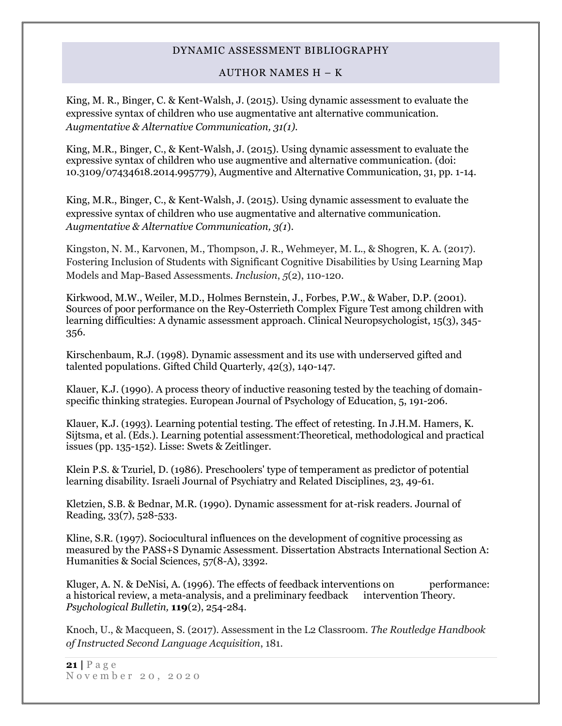### AUTHOR NAMES H – K

King, M. R., Binger, C. & Kent-Walsh, J. (2015). Using dynamic assessment to evaluate the expressive syntax of children who use augmentative ant alternative communication. *Augmentative & Alternative Communication, 31(1).*

King, M.R., Binger, C., & Kent-Walsh, J. (2015). Using dynamic assessment to evaluate the expressive syntax of children who use augmentive and alternative communication. (doi: 10.3109/07434618.2014.995779), Augmentive and Alternative Communication, 31, pp. 1-14.

King, M.R., Binger, C., & Kent-Walsh, J. (2015). Using dynamic assessment to evaluate the expressive syntax of children who use augmentative and alternative communication. *Augmentative & Alternative Communication, 3(1*).

Kingston, N. M., Karvonen, M., Thompson, J. R., Wehmeyer, M. L., & Shogren, K. A. (2017). Fostering Inclusion of Students with Significant Cognitive Disabilities by Using Learning Map Models and Map-Based Assessments. *Inclusion*, *5*(2), 110-120.

Kirkwood, M.W., Weiler, M.D., Holmes Bernstein, J., Forbes, P.W., & Waber, D.P. (2001). Sources of poor performance on the Rey-Osterrieth Complex Figure Test among children with learning difficulties: A dynamic assessment approach. Clinical Neuropsychologist, 15(3), 345- 356.

Kirschenbaum, R.J. (1998). Dynamic assessment and its use with underserved gifted and talented populations. Gifted Child Quarterly, 42(3), 140-147.

Klauer, K.J. (1990). A process theory of inductive reasoning tested by the teaching of domainspecific thinking strategies. European Journal of Psychology of Education, 5, 191-206.

Klauer, K.J. (1993). Learning potential testing. The effect of retesting. In J.H.M. Hamers, K. Sijtsma, et al. (Eds.). Learning potential assessment:Theoretical, methodological and practical issues (pp. 135-152). Lisse: Swets & Zeitlinger.

Klein P.S. & Tzuriel, D. (1986). Preschoolers' type of temperament as predictor of potential learning disability. Israeli Journal of Psychiatry and Related Disciplines, 23, 49-61.

Kletzien, S.B. & Bednar, M.R. (1990). Dynamic assessment for at-risk readers. Journal of Reading, 33(7), 528-533.

Kline, S.R. (1997). Sociocultural influences on the development of cognitive processing as measured by the PASS+S Dynamic Assessment. Dissertation Abstracts International Section A: Humanities & Social Sciences, 57(8-A), 3392.

Kluger, A. N. & DeNisi, A. (1996). The effects of feedback interventions on performance: a historical review, a meta-analysis, and a preliminary feedback intervention Theory. *Psychological Bulletin,* **119**(2), 254-284.

Knoch, U., & Macqueen, S. (2017). Assessment in the L2 Classroom. *The Routledge Handbook of Instructed Second Language Acquisition*, 181.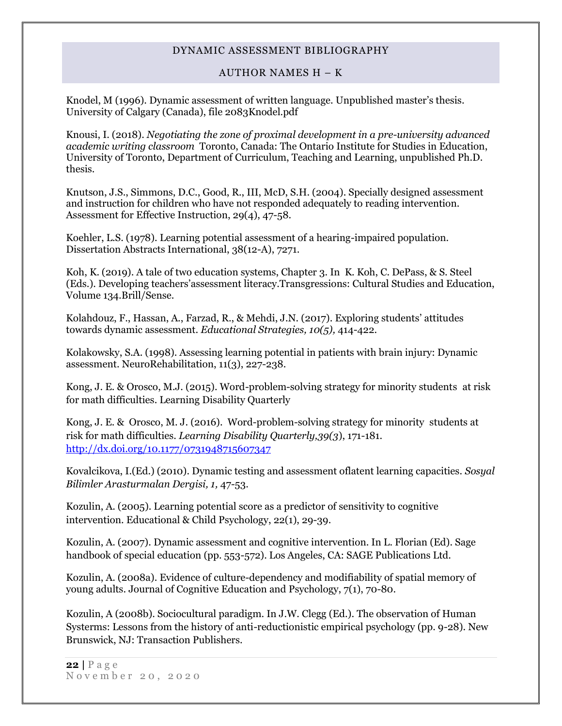### AUTHOR NAMES H – K

Knodel, M (1996). Dynamic assessment of written language. Unpublished master's thesis. University of Calgary (Canada), file 2083Knodel.pdf

Knousi, I. (2018). *Negotiating the zone of proximal development in a pre-university advanced academic writing classroom* Toronto, Canada: The Ontario Institute for Studies in Education, University of Toronto, Department of Curriculum, Teaching and Learning, unpublished Ph.D. thesis.

Knutson, J.S., Simmons, D.C., Good, R., III, McD, S.H. (2004). Specially designed assessment and instruction for children who have not responded adequately to reading intervention. Assessment for Effective Instruction, 29(4), 47-58.

Koehler, L.S. (1978). Learning potential assessment of a hearing-impaired population. Dissertation Abstracts International, 38(12-A), 7271.

Koh, K. (2019). A tale of two education systems, Chapter 3. In K. Koh, C. DePass, & S. Steel (Eds.). Developing teachers'assessment literacy.Transgressions: Cultural Studies and Education, Volume 134.Brill/Sense.

Kolahdouz, F., Hassan, A., Farzad, R., & Mehdi, J.N. (2017). Exploring students' attitudes towards dynamic assessment. *Educational Strategies, 10(5),* 414-422.

Kolakowsky, S.A. (1998). Assessing learning potential in patients with brain injury: Dynamic assessment. NeuroRehabilitation, 11(3), 227-238.

Kong, J. E. & Orosco, M.J. (2015). Word-problem-solving strategy for minority students at risk for math difficulties. Learning Disability Quarterly

[Kong, J. E.](http://psycnet.apa.org/index.cfm?fa=search.searchResults&latSearchType=a&term=Kong,%20Jennifer%20E.) & [Orosco, M.](http://psycnet.apa.org/index.cfm?fa=search.searchResults&latSearchType=a&term=Orosco,%20Michael%20J.) J. (2016). Word-problem-solving strategy for minority students at risk for math difficulties. *Learning Disability Quarterly,39(3*), 171-181. http://dx.doi.org/10.1177/0731948715607347

Kovalcikova, I.(Ed.) (2010). Dynamic testing and assessment oflatent learning capacities. *Sosyal Bilimler Arasturmalan Dergisi, 1,* 47-53.

Kozulin, A. (2005). Learning potential score as a predictor of sensitivity to cognitive intervention. Educational & Child Psychology, 22(1), 29-39.

Kozulin, A. (2007). Dynamic assessment and cognitive intervention. In L. Florian (Ed). Sage handbook of special education (pp. 553-572). Los Angeles, CA: SAGE Publications Ltd.

Kozulin, A. (2008a). Evidence of culture-dependency and modifiability of spatial memory of young adults. Journal of Cognitive Education and Psychology, 7(1), 70-80.

Kozulin, A (2008b). Sociocultural paradigm. In J.W. Clegg (Ed.). The observation of Human Systerms: Lessons from the history of anti-reductionistic empirical psychology (pp. 9-28). New Brunswick, NJ: Transaction Publishers.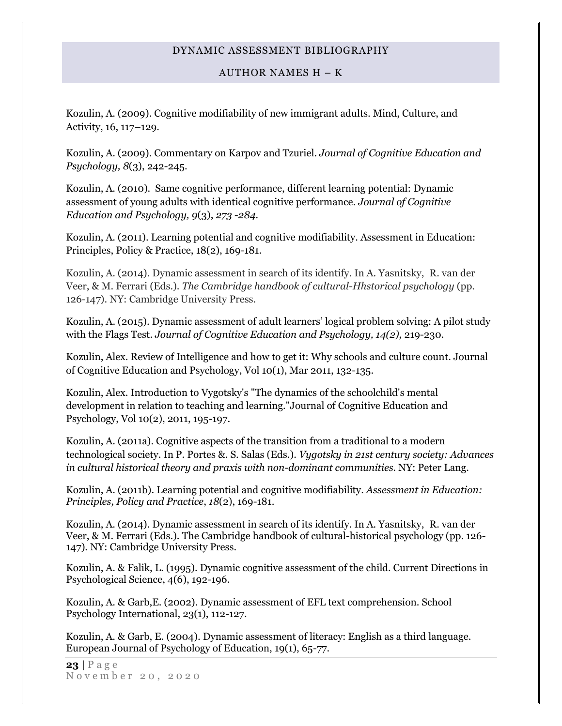### AUTHOR NAMES H – K

Kozulin, A. (2009). Cognitive modifiability of new immigrant adults. Mind, Culture, and Activity, 16, 117–129.

Kozulin, A. (2009). Commentary on Karpov and Tzuriel. *Journal of Cognitive Education and Psychology, 8*(3), 242-245.

Kozulin, A. (2010). Same cognitive performance, different learning potential: Dynamic assessment of young adults with identical cognitive performance. *Journal of Cognitive Education and Psychology, 9*(3), *273 -284.*

Kozulin, A. (2011). Learning potential and cognitive modifiability. Assessment in Education: Principles, Policy & Practice, 18(2), 169-181.

Kozulin, A. (2014). Dynamic assessment in search of its identify. In A. Yasnitsky, R. van der Veer, & M. Ferrari (Eds.). *The Cambridge handbook of cultural-Hhstorical psychology* (pp. 126-147). NY: Cambridge University Press.

Kozulin, A. (2015). Dynamic assessment of adult learners' logical problem solving: A pilot study with the Flags Test. *Journal of Cognitive Education and Psychology, 14(2),* 219-230.

Kozulin, Alex. Review of Intelligence and how to get it: Why schools and culture count. Journal of Cognitive Education and Psychology, Vol 10(1), Mar 2011, 132-135.

Kozulin, Alex. Introduction to Vygotsky's "The dynamics of the schoolchild's mental development in relation to teaching and learning."Journal of Cognitive Education and Psychology, Vol 10(2), 2011, 195-197.

Kozulin, A. (2011a). Cognitive aspects of the transition from a traditional to a modern technological society. In P. Portes &. S. Salas (Eds.). *Vygotsky in 21st century society: Advances in cultural historical theory and praxis with non-dominant communities.* NY: Peter Lang.

Kozulin, A. (2011b)[. Learning potential and](http://www.ingentaconnect.com/search/article?title=%22dynamic+assessment&title_type=tka&year_from=1998&year_to=2009&database=1&pageSize=50&index=6) cognitive modifiability. *[Assessment in Education:](http://www.ingentaconnect.com/content/routledg/caie)  [Principles, Policy and Practice](http://www.ingentaconnect.com/content/routledg/caie)*, *18*(2), 169-181.

Kozulin, A. (2014). Dynamic assessment in search of its identify. In A. Yasnitsky, R. van der Veer, & M. Ferrari (Eds.). The Cambridge handbook of cultural-historical psychology (pp. 126- 147). NY: Cambridge University Press.

Kozulin, A. & Falik, L. (1995). Dynamic cognitive assessment of the child. Current Directions in Psychological Science, 4(6), 192-196.

Kozulin, A. & Garb,E. (2002). Dynamic assessment of EFL text comprehension. School Psychology International, 23(1), 112-127.

Kozulin, A. & Garb, E. (2004). Dynamic assessment of literacy: English as a third language. European Journal of Psychology of Education, 19(1), 65-77.

**23 |** P a g e November 20, 2020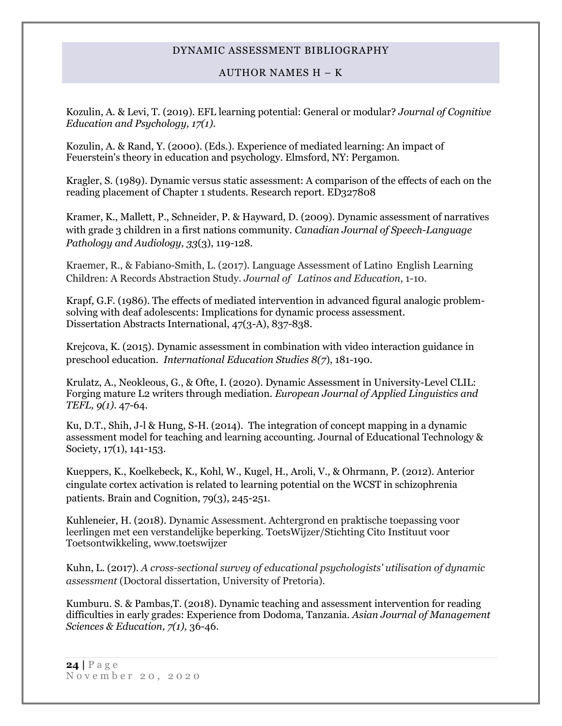AUTHOR NAMES H – K

Kozulin, A. & Levi, T. (2019). EFL learning potential: General or modular? *Journal of Cognitive Education and Psychology, 17(1).*

Kozulin, A. & Rand, Y. (2000). (Eds.). Experience of mediated learning: An impact of Feuerstein's theory in education and psychology. Elmsford, NY: Pergamon.

Kragler, S. (1989). Dynamic versus static assessment: A comparison of the effects of each on the reading placement of Chapter 1 students. Research report. ED327808

Kramer, K., Mallett, P., Schneider, P. & Hayward, D. (2009). Dynamic assessment of narratives with grade 3 children in a first nations community. *Canadian Journal of Speech-Language Pathology and Audiology, 33*(3), 119-128.

Kraemer, R., & Fabiano-Smith, L. (2017). Language Assessment of Latino English Learning Children: A Records Abstraction Study. *Journal of Latinos and Education*, 1-10.

Krapf, G.F. (1986). The effects of mediated intervention in advanced figural analogic problemsolving with deaf adolescents: Implications for dynamic process assessment. Dissertation Abstracts International, 47(3-A), 837-838.

Krejcova, K. (2015). Dynamic assessment in combination with video interaction guidance in preschool education. *International Education Studies 8(7*), 181-190.

Krulatz, A., Neokleous, G., & Ofte, I. (2020). Dynamic Assessment in University-Level CLIL: Forging mature L2 writers through mediation. *European Journal of Applied Linguistics and TEFL, 9(1)*. 47-64.

Ku, D.T., Shih, J-l & Hung, S-H. (2014). The integration of concept mapping in a dynamic assessment model for teaching and learning accounting. Journal of Educational Technology & Society, 17(1), 141-153.

Kueppers, K., Koelkebeck, K., Kohl, W., Kugel, H., Aroli, V., & Ohrmann, P. (2012). Anterior cingulate cortex activation is related to learning potential on the WCST in schizophrenia patients. Brain and Cognition, 79(3), 245-251.

Kuhleneier, H. (2018). Dynamic Assessment. Achtergrond en praktische toepassing voor leerlingen met een verstandelijke beperking. ToetsWijzer/Stichting Cito Instituut voor Toetsontwikkeling, www.toetswijzer

Kuhn, L. (2017). *A cross-sectional survey of educational psychologists' utilisation of dynamic assessment* (Doctoral dissertation, University of Pretoria).

Kumburu. S. & Pambas,T. (2018). Dynamic teaching and assessment intervention for reading difficulties in early grades: Experience from Dodoma, Tanzania. *Asian Journal of Management Sciences & Education, 7(1),* 36-46.